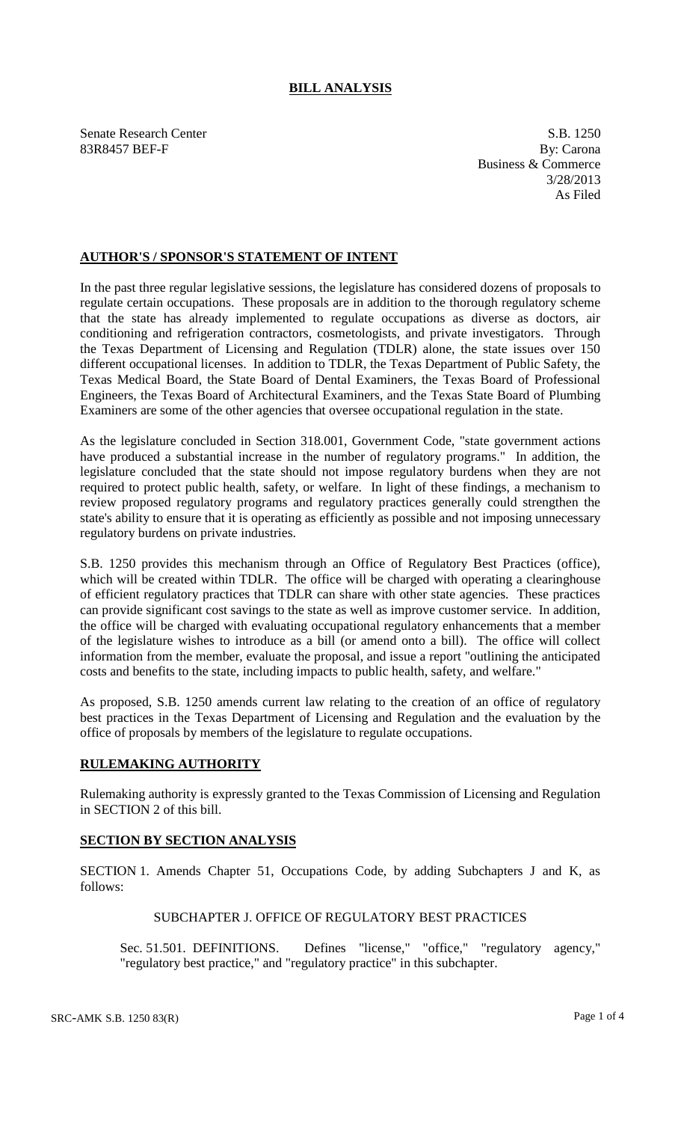# **BILL ANALYSIS**

Senate Research Center S.B. 1250 83R8457 BEF-F By: Carona

Business & Commerce 3/28/2013 As Filed

## **AUTHOR'S / SPONSOR'S STATEMENT OF INTENT**

In the past three regular legislative sessions, the legislature has considered dozens of proposals to regulate certain occupations. These proposals are in addition to the thorough regulatory scheme that the state has already implemented to regulate occupations as diverse as doctors, air conditioning and refrigeration contractors, cosmetologists, and private investigators. Through the Texas Department of Licensing and Regulation (TDLR) alone, the state issues over 150 different occupational licenses. In addition to TDLR, the Texas Department of Public Safety, the Texas Medical Board, the State Board of Dental Examiners, the Texas Board of Professional Engineers, the Texas Board of Architectural Examiners, and the Texas State Board of Plumbing Examiners are some of the other agencies that oversee occupational regulation in the state.

As the legislature concluded in Section 318.001, Government Code, "state government actions have produced a substantial increase in the number of regulatory programs." In addition, the legislature concluded that the state should not impose regulatory burdens when they are not required to protect public health, safety, or welfare. In light of these findings, a mechanism to review proposed regulatory programs and regulatory practices generally could strengthen the state's ability to ensure that it is operating as efficiently as possible and not imposing unnecessary regulatory burdens on private industries.

S.B. 1250 provides this mechanism through an Office of Regulatory Best Practices (office), which will be created within TDLR. The office will be charged with operating a clearinghouse of efficient regulatory practices that TDLR can share with other state agencies. These practices can provide significant cost savings to the state as well as improve customer service. In addition, the office will be charged with evaluating occupational regulatory enhancements that a member of the legislature wishes to introduce as a bill (or amend onto a bill). The office will collect information from the member, evaluate the proposal, and issue a report "outlining the anticipated costs and benefits to the state, including impacts to public health, safety, and welfare."

As proposed, S.B. 1250 amends current law relating to the creation of an office of regulatory best practices in the Texas Department of Licensing and Regulation and the evaluation by the office of proposals by members of the legislature to regulate occupations.

### **RULEMAKING AUTHORITY**

Rulemaking authority is expressly granted to the Texas Commission of Licensing and Regulation in SECTION 2 of this bill.

### **SECTION BY SECTION ANALYSIS**

SECTION 1. Amends Chapter 51, Occupations Code, by adding Subchapters J and K, as follows:

# SUBCHAPTER J. OFFICE OF REGULATORY BEST PRACTICES

Sec. 51.501. DEFINITIONS. Defines "license," "office," "regulatory agency," "regulatory best practice," and "regulatory practice" in this subchapter.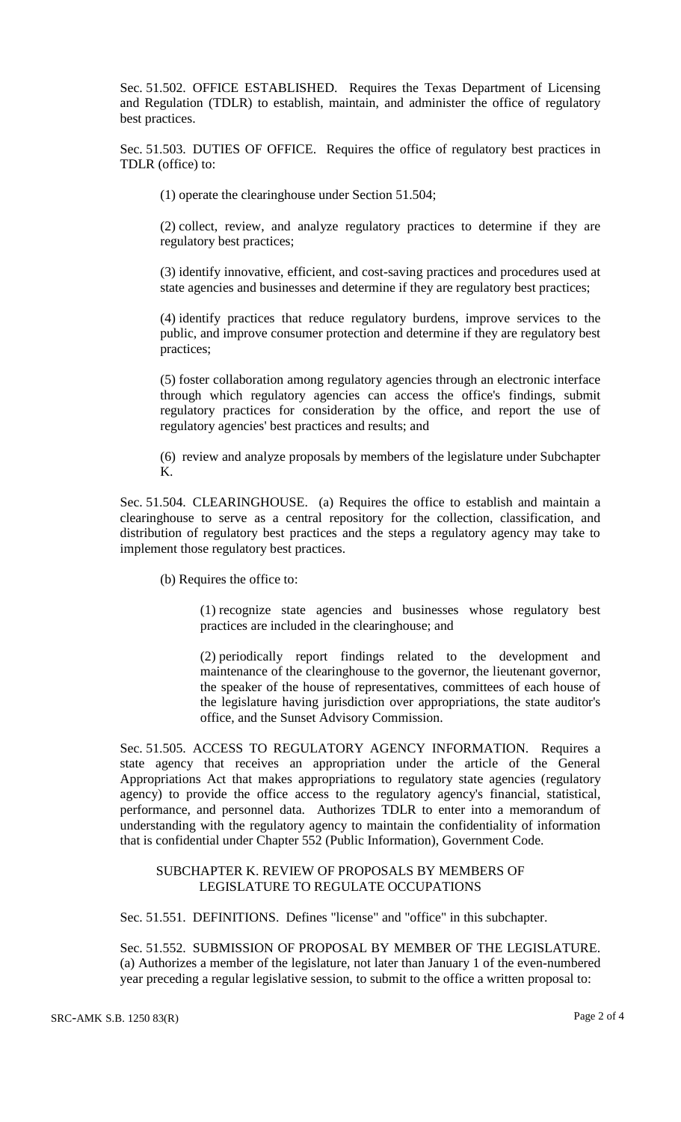Sec. 51.502. OFFICE ESTABLISHED. Requires the Texas Department of Licensing and Regulation (TDLR) to establish, maintain, and administer the office of regulatory best practices.

Sec. 51.503. DUTIES OF OFFICE. Requires the office of regulatory best practices in TDLR (office) to:

(1) operate the clearinghouse under Section 51.504;

(2) collect, review, and analyze regulatory practices to determine if they are regulatory best practices;

(3) identify innovative, efficient, and cost-saving practices and procedures used at state agencies and businesses and determine if they are regulatory best practices;

(4) identify practices that reduce regulatory burdens, improve services to the public, and improve consumer protection and determine if they are regulatory best practices;

(5) foster collaboration among regulatory agencies through an electronic interface through which regulatory agencies can access the office's findings, submit regulatory practices for consideration by the office, and report the use of regulatory agencies' best practices and results; and

(6) review and analyze proposals by members of the legislature under Subchapter K.

Sec. 51.504. CLEARINGHOUSE. (a) Requires the office to establish and maintain a clearinghouse to serve as a central repository for the collection, classification, and distribution of regulatory best practices and the steps a regulatory agency may take to implement those regulatory best practices.

(b) Requires the office to:

(1) recognize state agencies and businesses whose regulatory best practices are included in the clearinghouse; and

(2) periodically report findings related to the development and maintenance of the clearinghouse to the governor, the lieutenant governor, the speaker of the house of representatives, committees of each house of the legislature having jurisdiction over appropriations, the state auditor's office, and the Sunset Advisory Commission.

Sec. 51.505. ACCESS TO REGULATORY AGENCY INFORMATION. Requires a state agency that receives an appropriation under the article of the General Appropriations Act that makes appropriations to regulatory state agencies (regulatory agency) to provide the office access to the regulatory agency's financial, statistical, performance, and personnel data. Authorizes TDLR to enter into a memorandum of understanding with the regulatory agency to maintain the confidentiality of information that is confidential under Chapter 552 (Public Information), Government Code.

#### SUBCHAPTER K. REVIEW OF PROPOSALS BY MEMBERS OF LEGISLATURE TO REGULATE OCCUPATIONS

Sec. 51.551. DEFINITIONS. Defines "license" and "office" in this subchapter.

Sec. 51.552. SUBMISSION OF PROPOSAL BY MEMBER OF THE LEGISLATURE. (a) Authorizes a member of the legislature, not later than January 1 of the even-numbered year preceding a regular legislative session, to submit to the office a written proposal to: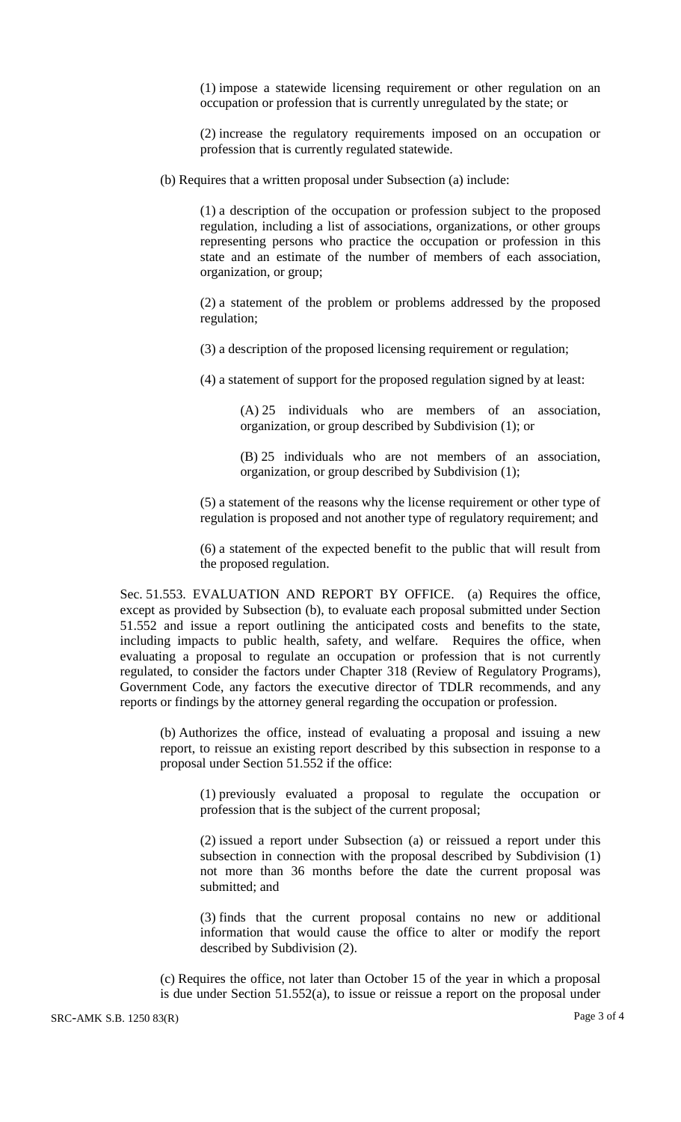(1) impose a statewide licensing requirement or other regulation on an occupation or profession that is currently unregulated by the state; or

(2) increase the regulatory requirements imposed on an occupation or profession that is currently regulated statewide.

(b) Requires that a written proposal under Subsection (a) include:

(1) a description of the occupation or profession subject to the proposed regulation, including a list of associations, organizations, or other groups representing persons who practice the occupation or profession in this state and an estimate of the number of members of each association, organization, or group;

(2) a statement of the problem or problems addressed by the proposed regulation;

(3) a description of the proposed licensing requirement or regulation;

(4) a statement of support for the proposed regulation signed by at least:

(A) 25 individuals who are members of an association, organization, or group described by Subdivision (1); or

(B) 25 individuals who are not members of an association, organization, or group described by Subdivision (1);

(5) a statement of the reasons why the license requirement or other type of regulation is proposed and not another type of regulatory requirement; and

(6) a statement of the expected benefit to the public that will result from the proposed regulation.

Sec. 51.553. EVALUATION AND REPORT BY OFFICE. (a) Requires the office, except as provided by Subsection (b), to evaluate each proposal submitted under Section 51.552 and issue a report outlining the anticipated costs and benefits to the state, including impacts to public health, safety, and welfare. Requires the office, when evaluating a proposal to regulate an occupation or profession that is not currently regulated, to consider the factors under Chapter 318 (Review of Regulatory Programs), Government Code, any factors the executive director of TDLR recommends, and any reports or findings by the attorney general regarding the occupation or profession.

(b) Authorizes the office, instead of evaluating a proposal and issuing a new report, to reissue an existing report described by this subsection in response to a proposal under Section 51.552 if the office:

(1) previously evaluated a proposal to regulate the occupation or profession that is the subject of the current proposal;

(2) issued a report under Subsection (a) or reissued a report under this subsection in connection with the proposal described by Subdivision (1) not more than 36 months before the date the current proposal was submitted; and

(3) finds that the current proposal contains no new or additional information that would cause the office to alter or modify the report described by Subdivision (2).

(c) Requires the office, not later than October 15 of the year in which a proposal is due under Section 51.552(a), to issue or reissue a report on the proposal under